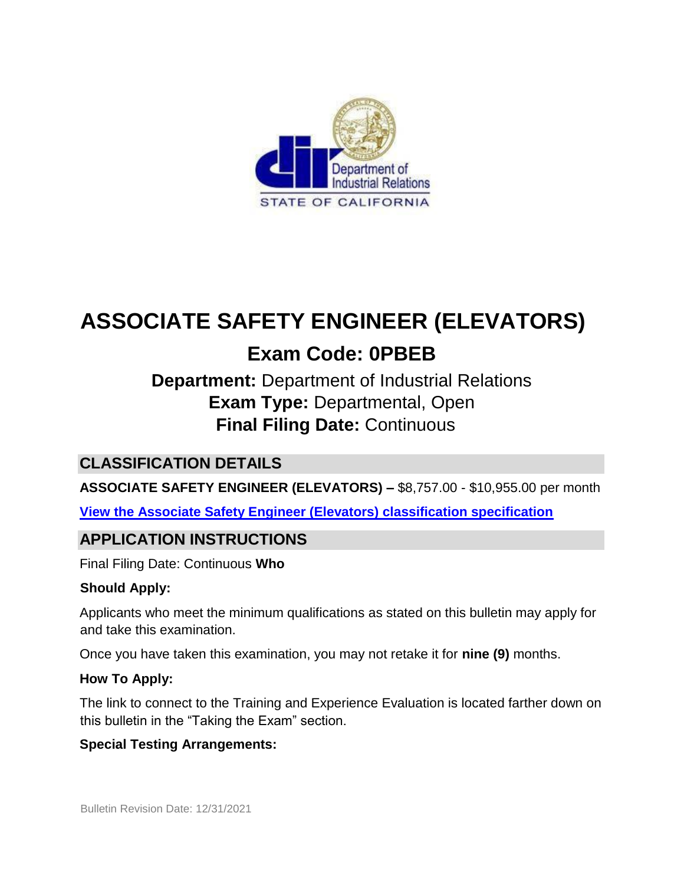

# **ASSOCIATE SAFETY ENGINEER (ELEVATORS)**

# **Exam Code: 0PBEB**

# **Department:** Department of Industrial Relations **Exam Type:** Departmental, Open **Final Filing Date:** Continuous

## **CLASSIFICATION DETAILS**

**ASSOCIATE SAFETY ENGINEER (ELEVATORS) –** \$8,757.00 - \$10,955.00 per month

**[View the Associate Safety Engineer \(Elevators\) classification specification](https://www.calhr.ca.gov/state-hr-professionals/pages/3884.aspx)**

### **APPLICATION INSTRUCTIONS**

Final Filing Date: Continuous **Who** 

#### **Should Apply:**

Applicants who meet the minimum qualifications as stated on this bulletin may apply for and take this examination.

Once you have taken this examination, you may not retake it for **nine (9)** months.

#### **How To Apply:**

The link to connect to the Training and Experience Evaluation is located farther down on this bulletin in the "Taking the Exam" section.

#### **Special Testing Arrangements:**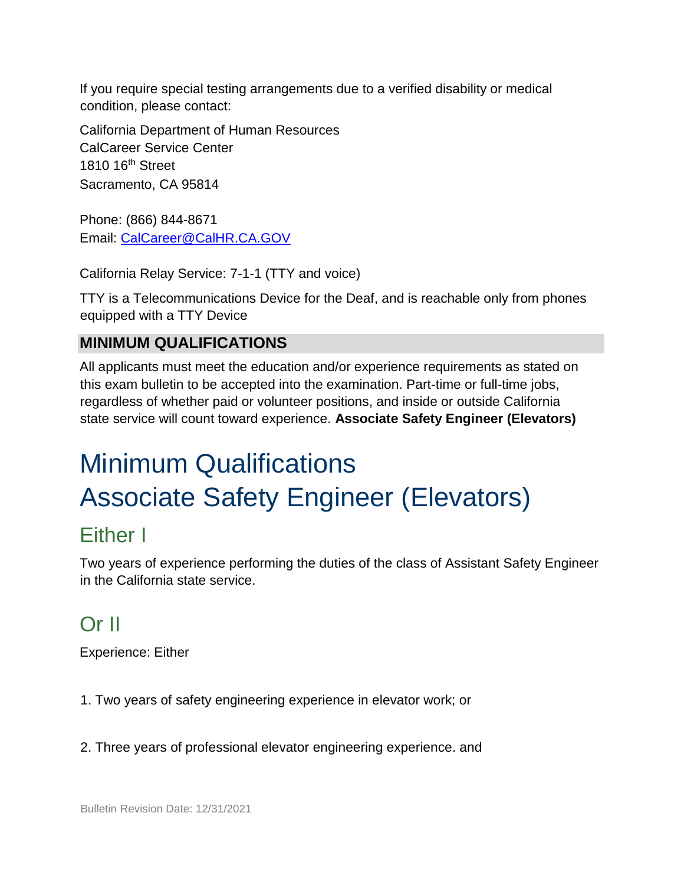If you require special testing arrangements due to a verified disability or medical condition, please contact:

California Department of Human Resources CalCareer Service Center 1810 16th Street Sacramento, CA 95814

Phone: (866) 844-8671 Email: CalCareer@CalHR.CA.GOV

California Relay Service: 7-1-1 (TTY and voice)

TTY is a Telecommunications Device for the Deaf, and is reachable only from phones equipped with a TTY Device

# **MINIMUM QUALIFICATIONS**

All applicants must meet the education and/or experience requirements as stated on this exam bulletin to be accepted into the examination. Part-time or full-time jobs, regardless of whether paid or volunteer positions, and inside or outside California state service will count toward experience. **Associate Safety Engineer (Elevators)** 

# Minimum Qualifications Associate Safety Engineer (Elevators)

# Either I

Two years of experience performing the duties of the class of Assistant Safety Engineer in the California state service.

# Or II

Experience: Either

1. Two years of safety engineering experience in elevator work; or

2. Three years of professional elevator engineering experience. and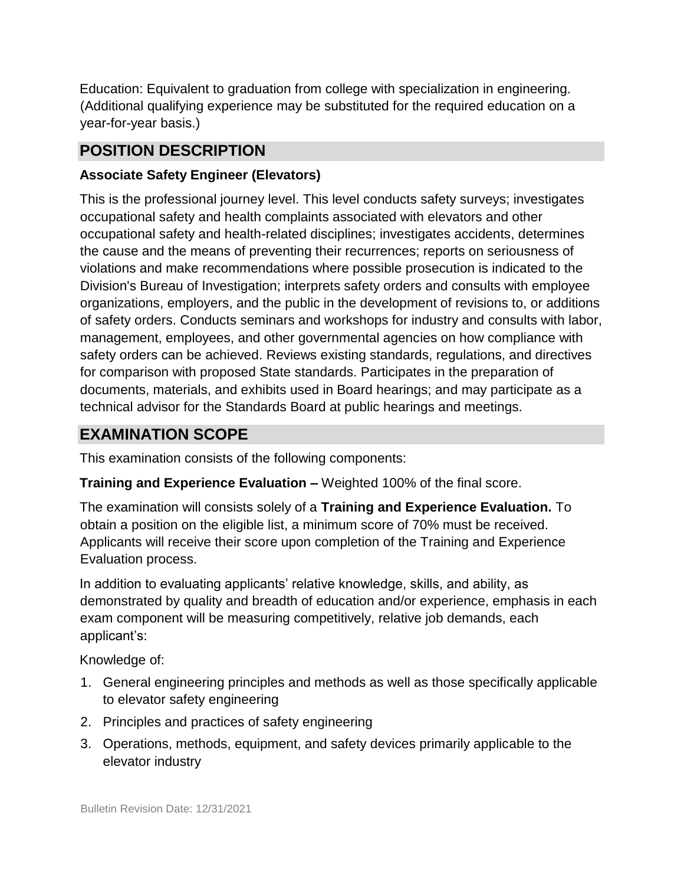Education: Equivalent to graduation from college with specialization in engineering. (Additional qualifying experience may be substituted for the required education on a year-for-year basis.)

### **POSITION DESCRIPTION**

#### **Associate Safety Engineer (Elevators)**

This is the professional journey level. This level conducts safety surveys; investigates occupational safety and health complaints associated with elevators and other occupational safety and health-related disciplines; investigates accidents, determines the cause and the means of preventing their recurrences; reports on seriousness of violations and make recommendations where possible prosecution is indicated to the Division's Bureau of Investigation; interprets safety orders and consults with employee organizations, employers, and the public in the development of revisions to, or additions of safety orders. Conducts seminars and workshops for industry and consults with labor, management, employees, and other governmental agencies on how compliance with safety orders can be achieved. Reviews existing standards, regulations, and directives for comparison with proposed State standards. Participates in the preparation of documents, materials, and exhibits used in Board hearings; and may participate as a technical advisor for the Standards Board at public hearings and meetings.

### **EXAMINATION SCOPE**

This examination consists of the following components:

#### **Training and Experience Evaluation –** Weighted 100% of the final score.

The examination will consists solely of a **Training and Experience Evaluation.** To obtain a position on the eligible list, a minimum score of 70% must be received. Applicants will receive their score upon completion of the Training and Experience Evaluation process.

In addition to evaluating applicants' relative knowledge, skills, and ability, as demonstrated by quality and breadth of education and/or experience, emphasis in each exam component will be measuring competitively, relative job demands, each applicant's:

Knowledge of:

- 1. General engineering principles and methods as well as those specifically applicable to elevator safety engineering
- 2. Principles and practices of safety engineering
- 3. Operations, methods, equipment, and safety devices primarily applicable to the elevator industry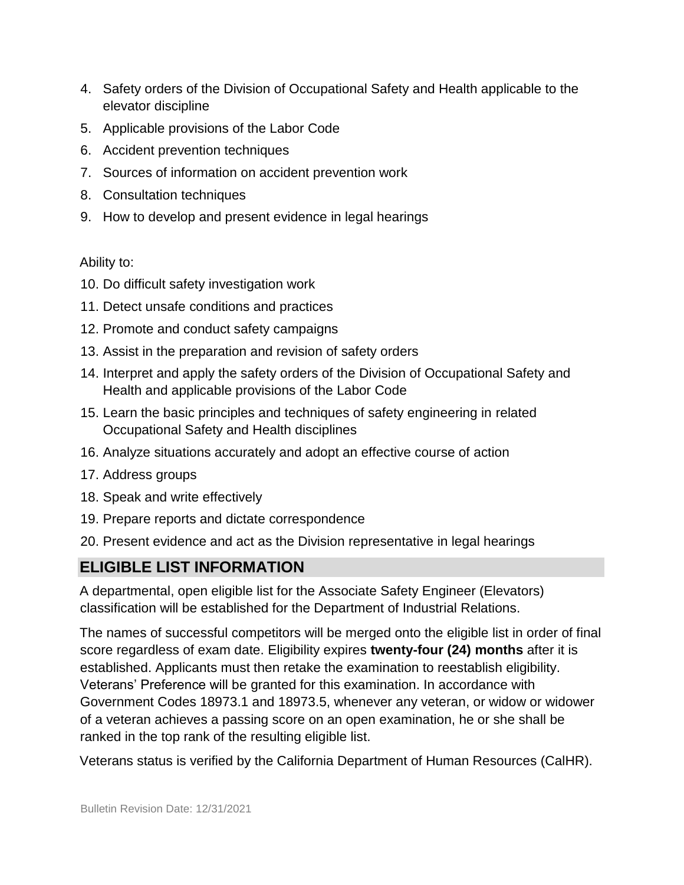- 4. Safety orders of the Division of Occupational Safety and Health applicable to the elevator discipline
- 5. Applicable provisions of the Labor Code
- 6. Accident prevention techniques
- 7. Sources of information on accident prevention work
- 8. Consultation techniques
- 9. How to develop and present evidence in legal hearings

#### Ability to:

- 10. Do difficult safety investigation work
- 11. Detect unsafe conditions and practices
- 12. Promote and conduct safety campaigns
- 13. Assist in the preparation and revision of safety orders
- 14. Interpret and apply the safety orders of the Division of Occupational Safety and Health and applicable provisions of the Labor Code
- 15. Learn the basic principles and techniques of safety engineering in related Occupational Safety and Health disciplines
- 16. Analyze situations accurately and adopt an effective course of action
- 17. Address groups
- 18. Speak and write effectively
- 19. Prepare reports and dictate correspondence
- 20. Present evidence and act as the Division representative in legal hearings

## **ELIGIBLE LIST INFORMATION**

A departmental, open eligible list for the Associate Safety Engineer (Elevators) classification will be established for the Department of Industrial Relations.

The names of successful competitors will be merged onto the eligible list in order of final score regardless of exam date. Eligibility expires **twenty-four (24) months** after it is established. Applicants must then retake the examination to reestablish eligibility. Veterans' Preference will be granted for this examination. In accordance with Government Codes 18973.1 and 18973.5, whenever any veteran, or widow or widower of a veteran achieves a passing score on an open examination, he or she shall be ranked in the top rank of the resulting eligible list.

Veterans status is verified by the California Department of Human Resources (CalHR).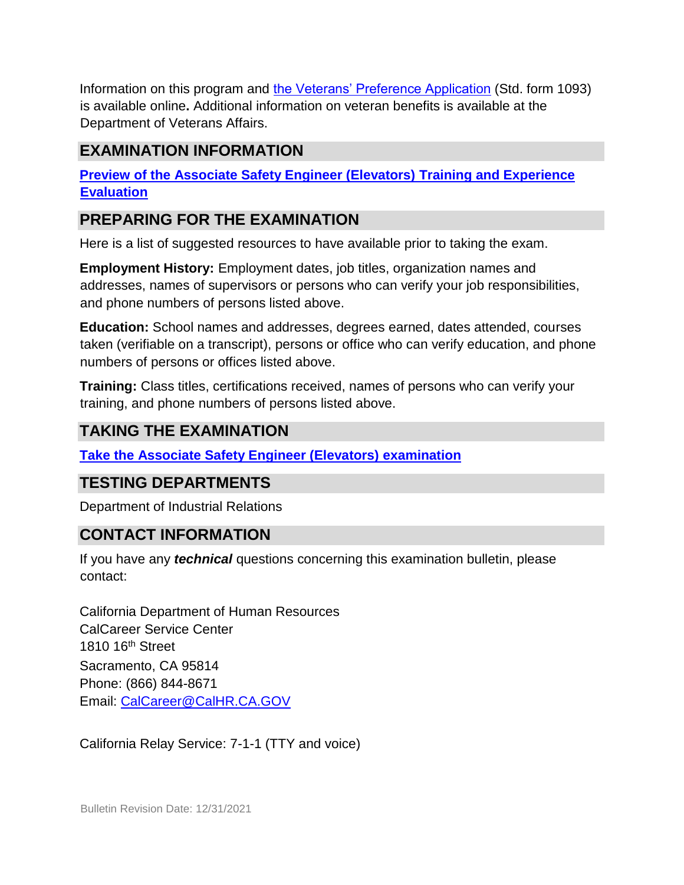Information on this program and [the Veterans' Preference Application](https://www.jobs.ca.gov/CalHRPublic/Landing/Jobs/VeteransInformation.aspx) (Std. form 1093) is available online**.** Additional information on veteran benefits is available at the Department of Veterans Affairs.

### **EXAMINATION INFORMATION**

**[Preview of the Associate Safety Engineer \(Elevators\)](https://jobs.ca.gov/jobsgen/0PBEBA.pdf) [Training and Experience](https://jobs.ca.gov/jobsgen/0PBEBA.pdf) [Evaluation](https://jobs.ca.gov/jobsgen/0PBEBA.pdf)**

### **PREPARING FOR THE EXAMINATION**

Here is a list of suggested resources to have available prior to taking the exam.

**Employment History:** Employment dates, job titles, organization names and addresses, names of supervisors or persons who can verify your job responsibilities, and phone numbers of persons listed above.

**Education:** School names and addresses, degrees earned, dates attended, courses taken (verifiable on a transcript), persons or office who can verify education, and phone numbers of persons or offices listed above.

**Training:** Class titles, certifications received, names of persons who can verify your training, and phone numbers of persons listed above.

### **TAKING THE EXAMINATION**

**[Take the](https://www.jobs.ca.gov/CalHRPublic/Login.aspx?ExamId=0PBEB) [Associate Safety Engineer \(Elevators\)](https://www.jobs.ca.gov/CalHRPublic/Login.aspx?ExamId=0PBEB) [examination](https://www.jobs.ca.gov/CalHRPublic/Login.aspx?ExamId=0PBEB)**

#### **TESTING DEPARTMENTS**

Department of Industrial Relations

#### **CONTACT INFORMATION**

If you have any *technical* questions concerning this examination bulletin, please contact:

California Department of Human Resources CalCareer Service Center 1810 16th Street Sacramento, CA 95814 Phone: (866) 844-8671 Email: CalCareer@CalHR.CA.GOV

California Relay Service: 7-1-1 (TTY and voice)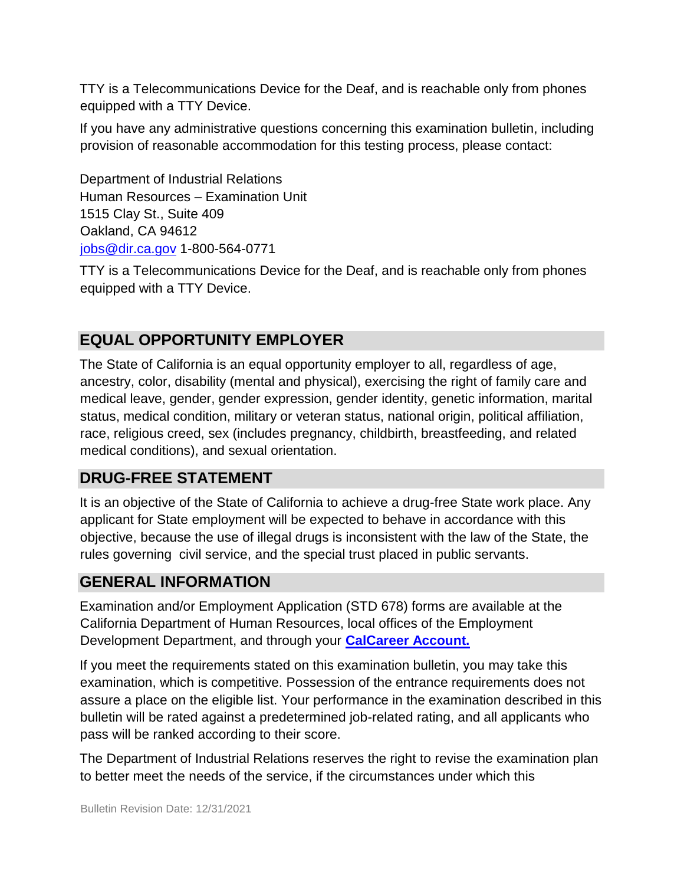TTY is a Telecommunications Device for the Deaf, and is reachable only from phones equipped with a TTY Device.

If you have any administrative questions concerning this examination bulletin, including provision of reasonable accommodation for this testing process, please contact:

Department of Industrial Relations Human Resources – Examination Unit 1515 Clay St., Suite 409 Oakland, CA 94612 jobs@dir.ca.gov 1-800-564-0771

TTY is a Telecommunications Device for the Deaf, and is reachable only from phones equipped with a TTY Device.

# **EQUAL OPPORTUNITY EMPLOYER**

The State of California is an equal opportunity employer to all, regardless of age, ancestry, color, disability (mental and physical), exercising the right of family care and medical leave, gender, gender expression, gender identity, genetic information, marital status, medical condition, military or veteran status, national origin, political affiliation, race, religious creed, sex (includes pregnancy, childbirth, breastfeeding, and related medical conditions), and sexual orientation.

### **DRUG-FREE STATEMENT**

It is an objective of the State of California to achieve a drug-free State work place. Any applicant for State employment will be expected to behave in accordance with this objective, because the use of illegal drugs is inconsistent with the law of the State, the rules governing civil service, and the special trust placed in public servants.

### **GENERAL INFORMATION**

Examination and/or Employment Application (STD 678) forms are available at the California Department of Human Resources, local offices of the Employment Development Department, and through your **[CalCareer Account.](http://www.jobs.ca.gov/)**

If you meet the requirements stated on this examination bulletin, you may take this examination, which is competitive. Possession of the entrance requirements does not assure a place on the eligible list. Your performance in the examination described in this bulletin will be rated against a predetermined job-related rating, and all applicants who pass will be ranked according to their score.

The Department of Industrial Relations reserves the right to revise the examination plan to better meet the needs of the service, if the circumstances under which this